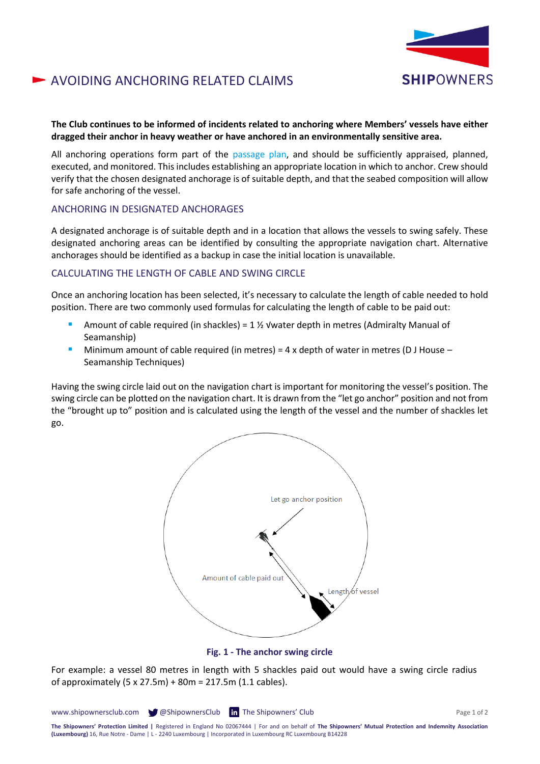

# $\blacktriangleright$  AVOIDING ANCHORING RELATED CLAIMS

## **The Club continues to be informed of incidents related to anchoring where Members' vessels have either dragged their anchor in heavy weather or have anchored in an environmentally sensitive area.**

All anchoring operations form part of the [passage plan,](https://www.shipownersclub.com/importance-of-proper-passage-planning/) and should be sufficiently appraised, planned, executed, and monitored. This includes establishing an appropriate location in which to anchor. Crew should verify that the chosen designated anchorage is of suitable depth, and that the seabed composition will allow for safe anchoring of the vessel.

## ANCHORING IN DESIGNATED ANCHORAGES

A designated anchorage is of suitable depth and in a location that allows the vessels to swing safely. These designated anchoring areas can be identified by consulting the appropriate navigation chart. Alternative anchorages should be identified as a backup in case the initial location is unavailable.

## CALCULATING THE LENGTH OF CABLE AND SWING CIRCLE

Once an anchoring location has been selected, it's necessary to calculate the length of cable needed to hold position. There are two commonly used formulas for calculating the length of cable to be paid out:

- Amount of cable required (in shackles) =  $1\frac{1}{2}$  V water depth in metres (Admiralty Manual of Seamanship)
- Minimum amount of cable required (in metres) = 4 x depth of water in metres (D J House Seamanship Techniques)

Having the swing circle laid out on the navigation chart is important for monitoring the vessel's position. The swing circle can be plotted on the navigation chart. It is drawn from the "let go anchor" position and not from the "brought up to" position and is calculated using the length of the vessel and the number of shackles let go.



**Fig. 1 - The anchor swing circle** 

For example: a vessel 80 metres in length with 5 shackles paid out would have a swing circle radius of approximately (5 x 27.5m) + 80m = 217.5m (1.1 cables).